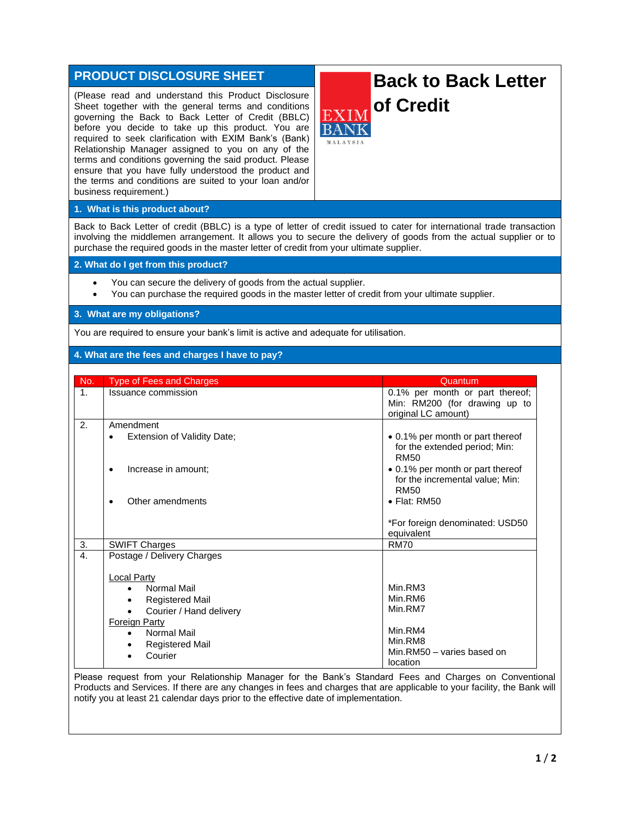# **PRODUCT DISCLOSURE SHEET**

(Please read and understand this Product Disclosure Sheet together with the general terms and conditions governing the Back to Back Letter of Credit (BBLC) before you decide to take up this product. You are required to seek clarification with EXIM Bank's (Bank) Relationship Manager assigned to you on any of the terms and conditions governing the said product. Please ensure that you have fully understood the product and the terms and conditions are suited to your loan and/or business requirement.)

# **Back to Back Letter of Credit**

# **1. What is this product about?**

Back to Back Letter of credit (BBLC) is a type of letter of credit issued to cater for international trade transaction involving the middlemen arrangement. It allows you to secure the delivery of goods from the actual supplier or to purchase the required goods in the master letter of credit from your ultimate supplier.

#### **2. What do I get from this product?**

- You can secure the delivery of goods from the actual supplier.
- You can purchase the required goods in the master letter of credit from your ultimate supplier.

## **3. What are my obligations?**

You are required to ensure your bank's limit is active and adequate for utilisation.

## **4. What are the fees and charges I have to pay?**

| No.              | <b>Type of Fees and Charges</b>                                                                                                                         | Quantum                                                                                 |
|------------------|---------------------------------------------------------------------------------------------------------------------------------------------------------|-----------------------------------------------------------------------------------------|
| 1 <sub>1</sub>   | Issuance commission                                                                                                                                     | 0.1% per month or part thereof;<br>Min: RM200 (for drawing up to<br>original LC amount) |
| 2 <sub>1</sub>   | Amendment<br>Extension of Validity Date;<br>$\bullet$                                                                                                   | • 0.1% per month or part thereof<br>for the extended period; Min:<br><b>RM50</b>        |
|                  | Increase in amount:                                                                                                                                     | • 0.1% per month or part thereof<br>for the incremental value; Min:<br><b>RM50</b>      |
|                  | Other amendments                                                                                                                                        | $\bullet$ Flat: RM50<br>*For foreign denominated: USD50<br>equivalent                   |
| 3.               | <b>SWIFT Charges</b>                                                                                                                                    | <b>RM70</b>                                                                             |
| $\overline{4}$ . | Postage / Delivery Charges                                                                                                                              |                                                                                         |
|                  | <b>Local Party</b><br>Normal Mail<br><b>Registered Mail</b><br>$\bullet$<br>Courier / Hand delivery<br><b>Foreign Party</b><br>Normal Mail<br>$\bullet$ | Min.RM3<br>Min.RM6<br>Min.RM7<br>Min.RM4                                                |
|                  | <b>Registered Mail</b><br>Courier                                                                                                                       | Min.RM8<br>Min.RM50 - varies based on<br>location                                       |

Please request from your Relationship Manager for the Bank's Standard Fees and Charges on Conventional Products and Services. If there are any changes in fees and charges that are applicable to your facility, the Bank will notify you at least 21 calendar days prior to the effective date of implementation.